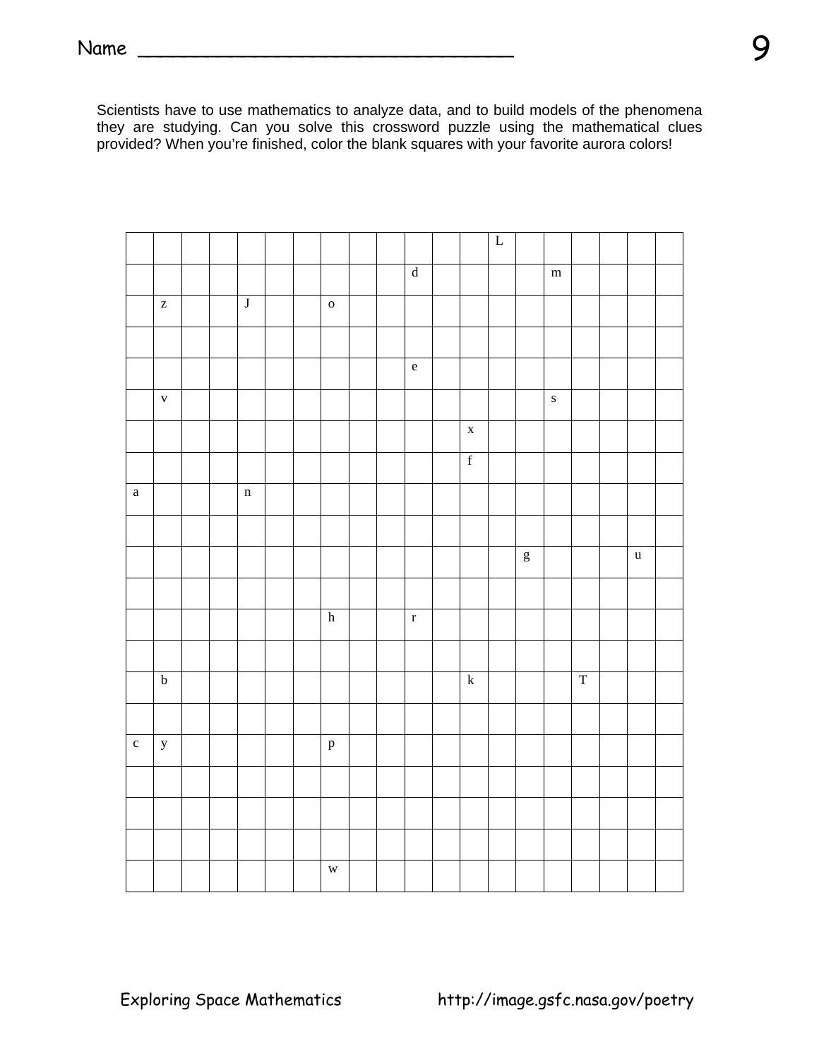Scientists have to use mathematics to analyze data, and to build models of the phenomena they are studying. Can you solve this crossword puzzle using the mathematical clues provided? When you're finished, color the blank squares with your favorite aurora colors!

|                       |                                                       |  |                         |  |                      |  |                                            |             | $\overline{\mathbf{L}}$ |                                               |           |                         |             |  |
|-----------------------|-------------------------------------------------------|--|-------------------------|--|----------------------|--|--------------------------------------------|-------------|-------------------------|-----------------------------------------------|-----------|-------------------------|-------------|--|
|                       |                                                       |  |                         |  |                      |  | $\overline{\mathrm{d}}$                    |             |                         |                                               | ${\bf m}$ |                         |             |  |
|                       | $\mathbf{Z}% ^{T}=\mathbf{Z}^{T}\times\mathbf{Z}^{T}$ |  | $\overline{\mathbf{J}}$ |  | $\mathbf{o}$         |  |                                            |             |                         |                                               |           |                         |             |  |
|                       |                                                       |  |                         |  |                      |  |                                            |             |                         |                                               |           |                         |             |  |
|                       |                                                       |  |                         |  |                      |  | $\mathbf{e}% _{0}\left( \mathbf{1}\right)$ |             |                         |                                               |           |                         |             |  |
|                       | $\mathbf{V}$                                          |  |                         |  |                      |  |                                            |             |                         |                                               | $\bf S$   |                         |             |  |
|                       |                                                       |  |                         |  |                      |  |                                            | $\mathbf X$ |                         |                                               |           |                         |             |  |
|                       |                                                       |  |                         |  |                      |  |                                            | $\mathbf f$ |                         |                                               |           |                         |             |  |
| $\rm{a}$              |                                                       |  | $\mathbf n$             |  |                      |  |                                            |             |                         |                                               |           |                         |             |  |
|                       |                                                       |  |                         |  |                      |  |                                            |             |                         |                                               |           |                         |             |  |
|                       |                                                       |  |                         |  |                      |  |                                            |             |                         | $\mathbf{g}% _{T}=\mathbf{g}_{T}(\mathbf{v})$ |           |                         | $\mathbf u$ |  |
|                       |                                                       |  |                         |  |                      |  |                                            |             |                         |                                               |           |                         |             |  |
|                       |                                                       |  |                         |  | $\boldsymbol{\rm h}$ |  | $\mathbf r$                                |             |                         |                                               |           |                         |             |  |
|                       |                                                       |  |                         |  |                      |  |                                            |             |                         |                                               |           |                         |             |  |
|                       | $\overline{b}$                                        |  |                         |  |                      |  |                                            | ${\bf k}$   |                         |                                               |           | $\overline{\mathrm{T}}$ |             |  |
|                       |                                                       |  |                         |  |                      |  |                                            |             |                         |                                               |           |                         |             |  |
| $\overline{\text{c}}$ | $\mathbf y$                                           |  |                         |  | $\, {\bf p}$         |  |                                            |             |                         |                                               |           |                         |             |  |
|                       |                                                       |  |                         |  |                      |  |                                            |             |                         |                                               |           |                         |             |  |
|                       |                                                       |  |                         |  |                      |  |                                            |             |                         |                                               |           |                         |             |  |
|                       |                                                       |  |                         |  |                      |  |                                            |             |                         |                                               |           |                         |             |  |
|                       |                                                       |  |                         |  | $\mathbf{W}$         |  |                                            |             |                         |                                               |           |                         |             |  |